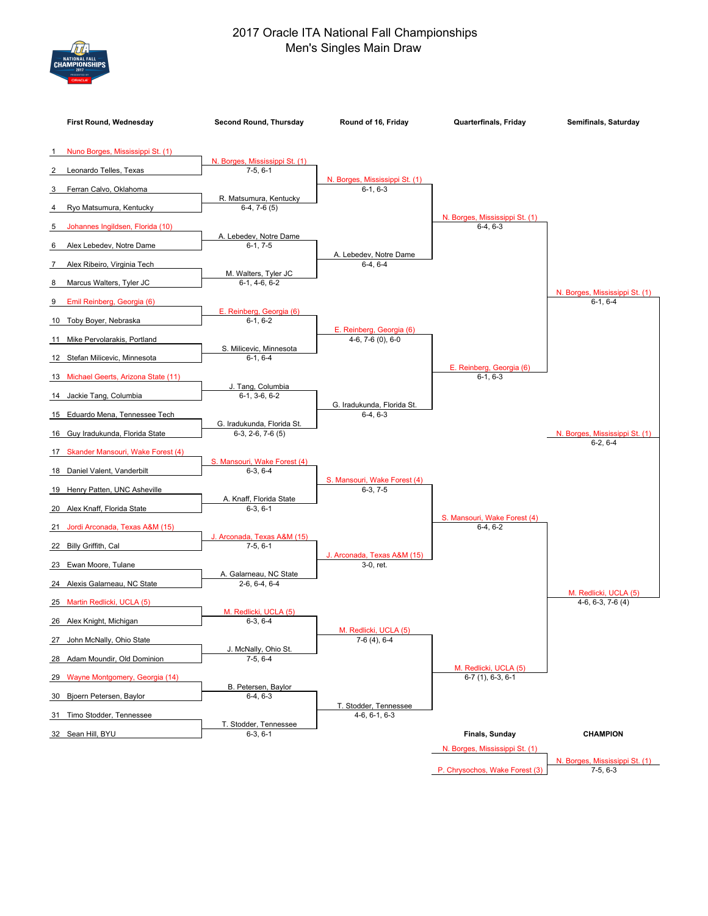

## 2017 Oracle ITA National Fall Championships Men's Singles Main Draw